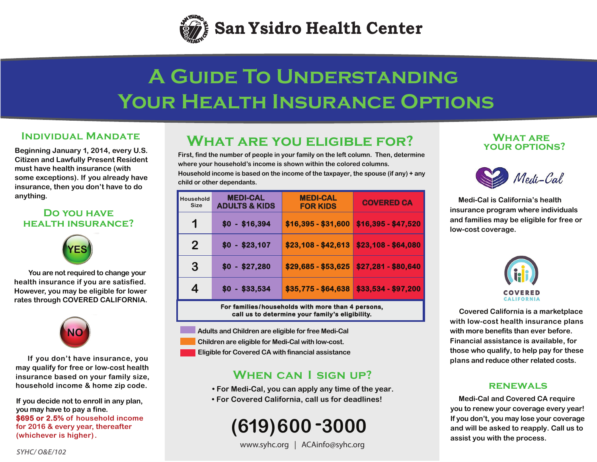

# **A Guide To Understanding Your Health Insurance Options**

### **Individual Mandate**

**Beginning January 1, 2014, every U.S. Citizen and Lawfully Present Resident must have health insurance (with some exceptions). If you already have insurance, then you don't have to do anything.** 

### **Do you have health insurance?**



**You are not required to change your health insurance if you are satisfied. However, you may be eligible for lower rates through COVERED CALIFORNIA.**



 **insurance based on your family size, If you don't have insurance, you may qualify for free or low-cost health household income & home zip code.**

**If you decide not to enroll in any plan, you may have to pay a fine. \$695 or 2.5% of household income for 2016 & every year, thereafter (whichever is higher).**

### **What are you eligible for? What are**

**First, find the number of people in your family on the left column. Then, determine where your household's income is shown within the colored columns.**

**Household income is based on the income of the taxpayer, the spouse (if any) + any child or other dependants.**

| Household<br>Size                                                                                              | <b>MEDI-CAL</b><br><b>ADULTS &amp; KIDS</b> | <b>MEDI-CAL</b><br><b>FOR KIDS</b> | <b>COVERED CA</b>   |  |
|----------------------------------------------------------------------------------------------------------------|---------------------------------------------|------------------------------------|---------------------|--|
| 1                                                                                                              | $$0 - $16,394$                              | $$16,395 - $31,600$                | $$16,395 - $47,520$ |  |
| $\overline{2}$                                                                                                 | $$0 - $23,107$                              | $$23,108 - $42,613$                | $$23,108 - $64,080$ |  |
| 3                                                                                                              | $$0 - $27,280$                              | \$29,685 - \$53,625                | $$27,281 - $80,640$ |  |
| 4                                                                                                              | $$0 - $33,534$                              | \$35,775 - \$64,638                | \$33,534 - \$97,200 |  |
| a 989 a ce diferente a celebra fratta na artista de la celebra de la celebra de la celebra de la celebra de la |                                             |                                    |                     |  |

rammes/nousenoius with more than 4 perst<br>call us to determine your family's eligibility. **For families / households with more than 4 persons,**

- **Adults and Children are eligible for free Medi-Cal**
- **Children are eligible for Medi-Cal with low-cost.**
- **Eligible for Covered CA with financial assistance**

### **When can I sign up?**

- **• For Medi-Cal, you can apply any time of the year.**
- **• For Covered California, call us for deadlines!**

**(619)600 3000 -**

www.syhc.org | ACAinfo@syhc.org

## **your options?**



 **Medi-Cal is California's health insurance program where individuals and families may be eligible for free or low-cost coverage.**



 **Covered California is a marketplace with low-cost health insurance plans with more benefits than ever before. Financial assistance is available, for those who qualify, to help pay for these plans and reduce other related costs.** 

### **renewals**

 **Medi-Cal and Covered CA require you to renew your coverage every year! If you don't, you may lose your coverage and will be asked to reapply. Call us to assist you with the process.**

*SYHC/ O&E/102*